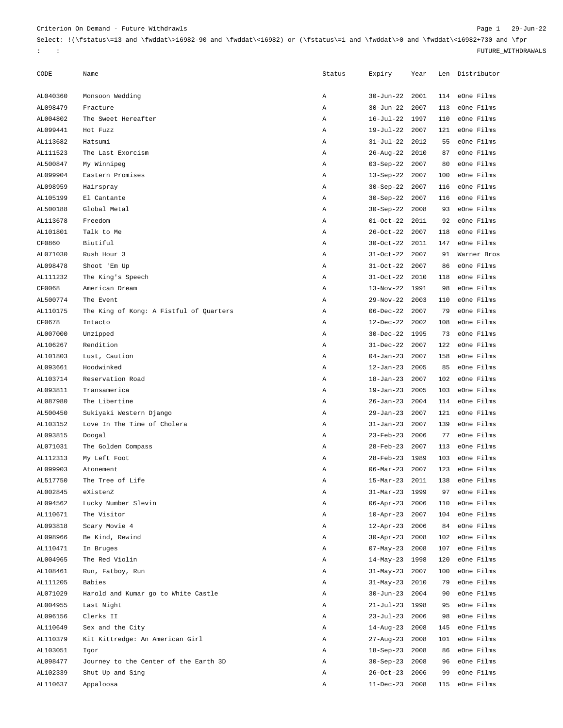## Criterion On Demand - Future Withdrawls Page 1 29-Jun-22

 $\label{thm:2} $$ Select: !(\fstatus)=13 and \fwddat\&16982-90 and \fwddat\&16982) or (\fstatus)=1 and \fwddat\&16982+730 and \fpr$ : : FUTURE\_WITHDRAWALS

| CODE     | Name                                    | Status | Expiry                 | Year |     | Len Distributor |
|----------|-----------------------------------------|--------|------------------------|------|-----|-----------------|
| AL040360 | Monsoon Wedding                         | Α      | $30 - Jun - 22$        | 2001 | 114 | eOne Films      |
| AL098479 | Fracture                                | Α      | $30 - Jun - 22$        | 2007 | 113 | eOne Films      |
| AL004802 | The Sweet Hereafter                     | Α      | $16 - Jul - 22$        | 1997 | 110 | eOne Films      |
| AL099441 | Hot Fuzz                                | Α      | $19 - Jul - 22$        | 2007 | 121 | eOne Films      |
| AL113682 | Hatsumi                                 | Α      | $31 - Jul - 22$        | 2012 | 55  | eOne Films      |
| AL111523 | The Last Exorcism                       | Α      | $26 - Aug - 22$        | 2010 | 87  | eOne Films      |
| AL500847 | My Winnipeg                             | Α      | $03-Sep-22$            | 2007 | 80  | eOne Films      |
| AL099904 | Eastern Promises                        | Α      | $13-Sep-22$            | 2007 | 100 | eOne Films      |
| AL098959 | Hairspray                               | Α      | $30-Sep-22$            | 2007 | 116 | eOne Films      |
| AL105199 | El Cantante                             | Α      | $30-Sep-22$            | 2007 | 116 | eOne Films      |
| AL500188 | Global Metal                            | Α      | $30-Sep-22$            | 2008 | 93  | eOne Films      |
| AL113678 | Freedom                                 | Α      | $01-0ct-22$            | 2011 | 92  | eOne Films      |
| AL101801 | Talk to Me                              | Α      | $26 - Oct - 22$        | 2007 | 118 | eOne Films      |
| CF0860   | Biutiful                                | Α      | $30 - Oct - 22$        | 2011 | 147 | eOne Films      |
| AL071030 | Rush Hour 3                             | Α      | $31-0ct-22$            | 2007 | 91  | Warner Bros     |
| AL098478 | Shoot 'Em Up                            | Α      | $31-0ct-22$            | 2007 | 86  | eOne Films      |
| AL111232 | The King's Speech                       | Α      | $31-0ct-22$            | 2010 | 118 | eOne Films      |
| CF0068   | American Dream                          | Α      | $13-Nov-22$            | 1991 | 98  | eOne Films      |
| AL500774 | The Event                               | Α      | $29-Nov-22$            | 2003 | 110 | eOne Films      |
| AL110175 | The King of Kong: A Fistful of Quarters | Α      | $06 - Dec - 22$        | 2007 | 79  | eOne Films      |
| CF0678   | Intacto                                 | Α      | $12 - Dec-22$          | 2002 | 108 | eOne Films      |
| AL007000 | Unzipped                                | Α      | $30 - Dec - 22$        | 1995 | 73  | eOne Films      |
| AL106267 | Rendition                               | Α      | $31 - Dec-22$          | 2007 | 122 | eOne Films      |
| AL101803 | Lust, Caution                           | Α      | $04 - Jan-23$          | 2007 | 158 | eOne Films      |
| AL093661 | Hoodwinked                              | Α      | $12 - Jan-23$          | 2005 | 85  | eOne Films      |
| AL103714 | Reservation Road                        | Α      | $18 - Jan-23$          | 2007 | 102 | eOne Films      |
| AL093811 | Transamerica                            | Α      | $19 - Jan-23$          | 2005 | 103 | eOne Films      |
| AL087980 | The Libertine                           | Α      | $26 - Jan - 23$        | 2004 | 114 | eOne Films      |
| AL500450 | Sukiyaki Western Django                 | Α      | $29 - Jan - 23$        | 2007 | 121 | eOne Films      |
| AL103152 | Love In The Time of Cholera             | Α      | $31 - Jan-23$          | 2007 | 139 | eOne Films      |
| AL093815 | Doogal                                  | Α      | $23$ -Feb-23           | 2006 | 77  | eOne Films      |
| AL071031 | The Golden Compass                      | Α      | $28$ -Feb-23           | 2007 | 113 | eOne Films      |
| AL112313 | My Left Foot                            | Α      | $28$ -Feb-23           | 1989 | 103 | eOne Films      |
| AL099903 | Atonement                               | Α      | $06 - \text{Mar} - 23$ | 2007 | 123 | eOne Films      |
| AL517750 | The Tree of Life                        | Α      | $15-Mar-23$            | 2011 | 138 | eOne Films      |
| AL002845 | eXistenZ                                | Α      | $31-Mar-23$            | 1999 | 97  | eOne Films      |
| AL094562 | Lucky Number Slevin                     | Α      | $06 - Apr - 23$        | 2006 | 110 | eOne Films      |
| AL110671 | The Visitor                             | Α      | $10 - Apr - 23$        | 2007 | 104 | eOne Films      |
| AL093818 | Scary Movie 4                           | Α      | $12$ -Apr-23           | 2006 | 84  | eOne Films      |
| AL098966 | Be Kind, Rewind                         | Α      | $30 - Apr - 23$        | 2008 | 102 | eOne Films      |
| AL110471 | In Bruges                               | Α      | $07$ -May-23           | 2008 | 107 | eOne Films      |
| AL004965 | The Red Violin                          | Α      | $14-May-23$            | 1998 | 120 | eOne Films      |
| AL108461 | Run, Fatboy, Run                        | Α      | $31$ -May-23           | 2007 | 100 | eOne Films      |
| AL111205 | Babies                                  | Α      | $31-May-23$            | 2010 | 79  | eOne Films      |
| AL071029 | Harold and Kumar go to White Castle     | Α      | $30 - Jun - 23$        | 2004 | 90  | eOne Films      |
| AL004955 | Last Night                              | Α      | $21 - Jul - 23$        | 1998 | 95  | eOne Films      |
| AL096156 | Clerks II                               | Α      | 23-Jul-23              | 2006 | 98  | eOne Films      |
| AL110649 | Sex and the City                        | Α      | 14-Aug-23              | 2008 | 145 | eOne Films      |
| AL110379 | Kit Kittredge: An American Girl         | Α      | $27 - Aug - 23$        | 2008 | 101 | eOne Films      |
| AL103051 | Igor                                    | Α      | $18-Sep-23$            | 2008 | 86  | eOne Films      |
| AL098477 | Journey to the Center of the Earth 3D   | Α      | $30-Sep-23$            | 2008 | 96  | eOne Films      |
| AL102339 | Shut Up and Sing                        | Α      | $26 - Oct - 23$        | 2006 | 99  | eOne Films      |
| AL110637 | Appaloosa                               | Α      | 11-Dec-23 2008         |      | 115 | eOne Films      |